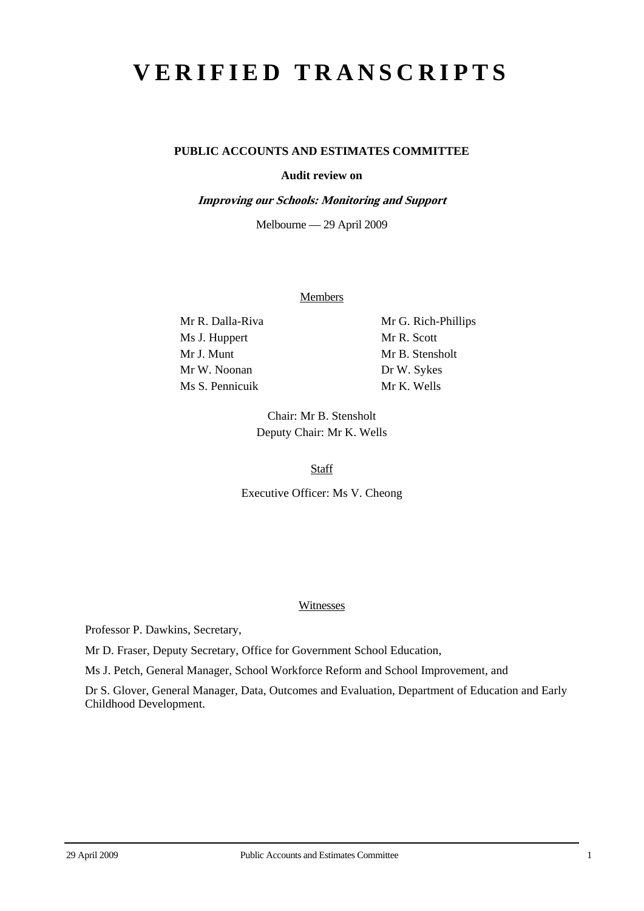# **VERIFIED TRANSCRIPTS**

# **PUBLIC ACCOUNTS AND ESTIMATES COMMITTEE**

## **Audit review on**

**Improving our Schools: Monitoring and Support** 

Melbourne — 29 April 2009

## Members

Ms J. Huppert Mr R. Scott Mr J. Munt Mr B. Stensholt Mr W. Noonan Dr W. Sykes Ms S. Pennicuik Mr K. Wells

Mr R. Dalla-Riva Mr G. Rich-Phillips

Chair: Mr B. Stensholt Deputy Chair: Mr K. Wells

**Staff** 

Executive Officer: Ms V. Cheong

#### Witnesses

Professor P. Dawkins, Secretary,

Mr D. Fraser, Deputy Secretary, Office for Government School Education,

Ms J. Petch, General Manager, School Workforce Reform and School Improvement, and

Dr S. Glover, General Manager, Data, Outcomes and Evaluation, Department of Education and Early Childhood Development.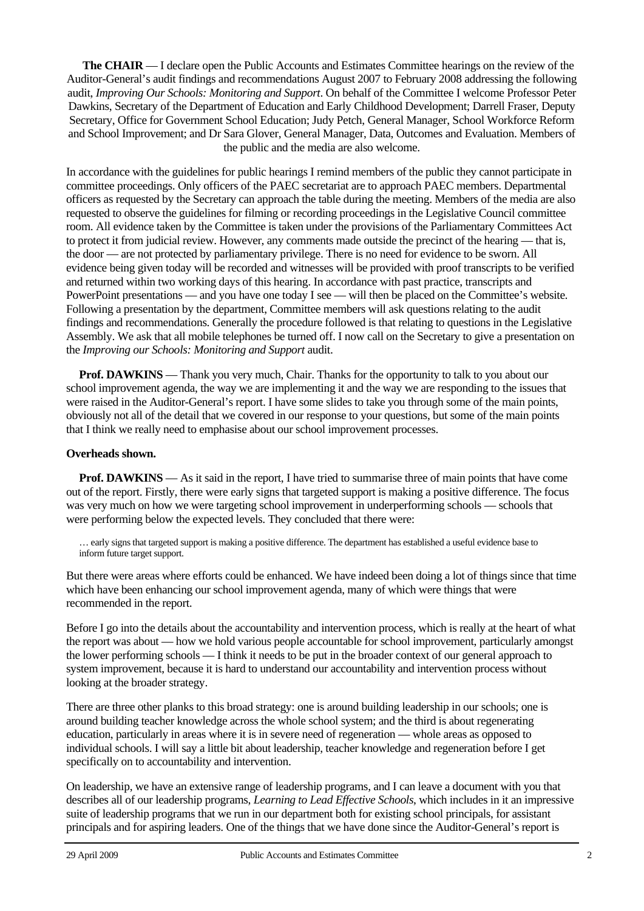**The CHAIR** — I declare open the Public Accounts and Estimates Committee hearings on the review of the Auditor-General's audit findings and recommendations August 2007 to February 2008 addressing the following audit, *Improving Our Schools: Monitoring and Support*. On behalf of the Committee I welcome Professor Peter Dawkins, Secretary of the Department of Education and Early Childhood Development; Darrell Fraser, Deputy Secretary, Office for Government School Education; Judy Petch, General Manager, School Workforce Reform and School Improvement; and Dr Sara Glover, General Manager, Data, Outcomes and Evaluation. Members of the public and the media are also welcome.

In accordance with the guidelines for public hearings I remind members of the public they cannot participate in committee proceedings. Only officers of the PAEC secretariat are to approach PAEC members. Departmental officers as requested by the Secretary can approach the table during the meeting. Members of the media are also requested to observe the guidelines for filming or recording proceedings in the Legislative Council committee room. All evidence taken by the Committee is taken under the provisions of the Parliamentary Committees Act to protect it from judicial review. However, any comments made outside the precinct of the hearing — that is, the door — are not protected by parliamentary privilege. There is no need for evidence to be sworn. All evidence being given today will be recorded and witnesses will be provided with proof transcripts to be verified and returned within two working days of this hearing. In accordance with past practice, transcripts and PowerPoint presentations — and you have one today I see — will then be placed on the Committee's website. Following a presentation by the department, Committee members will ask questions relating to the audit findings and recommendations. Generally the procedure followed is that relating to questions in the Legislative Assembly. We ask that all mobile telephones be turned off. I now call on the Secretary to give a presentation on the *Improving our Schools: Monitoring and Support* audit.

**Prof. DAWKINS** — Thank you very much, Chair. Thanks for the opportunity to talk to you about our school improvement agenda, the way we are implementing it and the way we are responding to the issues that were raised in the Auditor-General's report. I have some slides to take you through some of the main points, obviously not all of the detail that we covered in our response to your questions, but some of the main points that I think we really need to emphasise about our school improvement processes.

# **Overheads shown.**

**Prof. DAWKINS** — As it said in the report, I have tried to summarise three of main points that have come out of the report. Firstly, there were early signs that targeted support is making a positive difference. The focus was very much on how we were targeting school improvement in underperforming schools — schools that were performing below the expected levels. They concluded that there were:

… early signs that targeted support is making a positive difference. The department has established a useful evidence base to inform future target support.

But there were areas where efforts could be enhanced. We have indeed been doing a lot of things since that time which have been enhancing our school improvement agenda, many of which were things that were recommended in the report.

Before I go into the details about the accountability and intervention process, which is really at the heart of what the report was about — how we hold various people accountable for school improvement, particularly amongst the lower performing schools — I think it needs to be put in the broader context of our general approach to system improvement, because it is hard to understand our accountability and intervention process without looking at the broader strategy.

There are three other planks to this broad strategy: one is around building leadership in our schools; one is around building teacher knowledge across the whole school system; and the third is about regenerating education, particularly in areas where it is in severe need of regeneration — whole areas as opposed to individual schools. I will say a little bit about leadership, teacher knowledge and regeneration before I get specifically on to accountability and intervention.

On leadership, we have an extensive range of leadership programs, and I can leave a document with you that describes all of our leadership programs, *Learning to Lead Effective Schools*, which includes in it an impressive suite of leadership programs that we run in our department both for existing school principals, for assistant principals and for aspiring leaders. One of the things that we have done since the Auditor-General's report is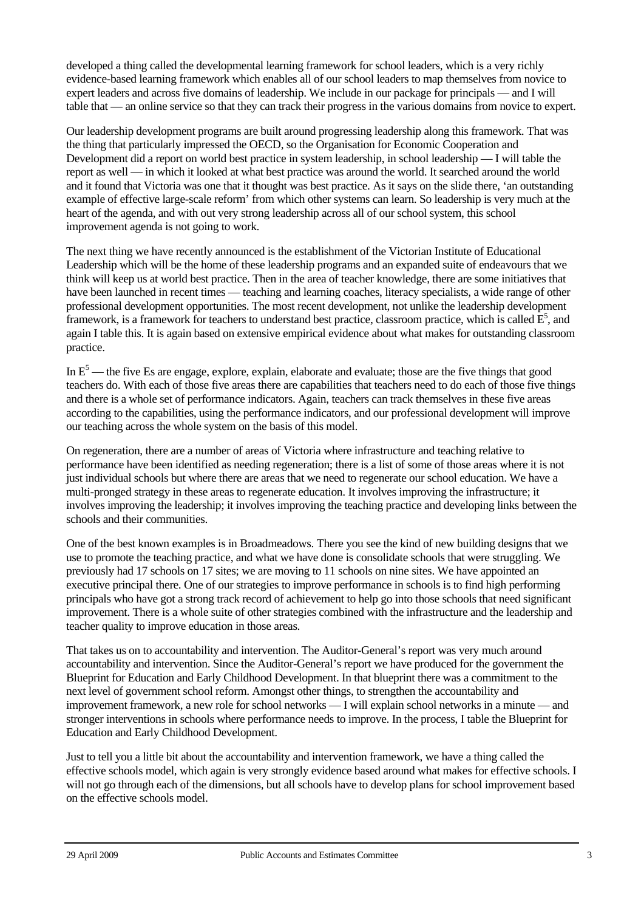developed a thing called the developmental learning framework for school leaders, which is a very richly evidence-based learning framework which enables all of our school leaders to map themselves from novice to expert leaders and across five domains of leadership. We include in our package for principals — and I will table that — an online service so that they can track their progress in the various domains from novice to expert.

Our leadership development programs are built around progressing leadership along this framework. That was the thing that particularly impressed the OECD, so the Organisation for Economic Cooperation and Development did a report on world best practice in system leadership, in school leadership — I will table the report as well — in which it looked at what best practice was around the world. It searched around the world and it found that Victoria was one that it thought was best practice. As it says on the slide there, 'an outstanding example of effective large-scale reform' from which other systems can learn. So leadership is very much at the heart of the agenda, and with out very strong leadership across all of our school system, this school improvement agenda is not going to work.

The next thing we have recently announced is the establishment of the Victorian Institute of Educational Leadership which will be the home of these leadership programs and an expanded suite of endeavours that we think will keep us at world best practice. Then in the area of teacher knowledge, there are some initiatives that have been launched in recent times — teaching and learning coaches, literacy specialists, a wide range of other professional development opportunities. The most recent development, not unlike the leadership development framework, is a framework for teachers to understand best practice, classroom practice, which is called  $\overline{E}^5$ , and again I table this. It is again based on extensive empirical evidence about what makes for outstanding classroom practice.

In  $E<sup>5</sup>$  — the five Es are engage, explore, explain, elaborate and evaluate; those are the five things that good teachers do. With each of those five areas there are capabilities that teachers need to do each of those five things and there is a whole set of performance indicators. Again, teachers can track themselves in these five areas according to the capabilities, using the performance indicators, and our professional development will improve our teaching across the whole system on the basis of this model.

On regeneration, there are a number of areas of Victoria where infrastructure and teaching relative to performance have been identified as needing regeneration; there is a list of some of those areas where it is not just individual schools but where there are areas that we need to regenerate our school education. We have a multi-pronged strategy in these areas to regenerate education. It involves improving the infrastructure; it involves improving the leadership; it involves improving the teaching practice and developing links between the schools and their communities.

One of the best known examples is in Broadmeadows. There you see the kind of new building designs that we use to promote the teaching practice, and what we have done is consolidate schools that were struggling. We previously had 17 schools on 17 sites; we are moving to 11 schools on nine sites. We have appointed an executive principal there. One of our strategies to improve performance in schools is to find high performing principals who have got a strong track record of achievement to help go into those schools that need significant improvement. There is a whole suite of other strategies combined with the infrastructure and the leadership and teacher quality to improve education in those areas.

That takes us on to accountability and intervention. The Auditor-General's report was very much around accountability and intervention. Since the Auditor-General's report we have produced for the government the Blueprint for Education and Early Childhood Development. In that blueprint there was a commitment to the next level of government school reform. Amongst other things, to strengthen the accountability and improvement framework, a new role for school networks — I will explain school networks in a minute — and stronger interventions in schools where performance needs to improve. In the process, I table the Blueprint for Education and Early Childhood Development.

Just to tell you a little bit about the accountability and intervention framework, we have a thing called the effective schools model, which again is very strongly evidence based around what makes for effective schools. I will not go through each of the dimensions, but all schools have to develop plans for school improvement based on the effective schools model.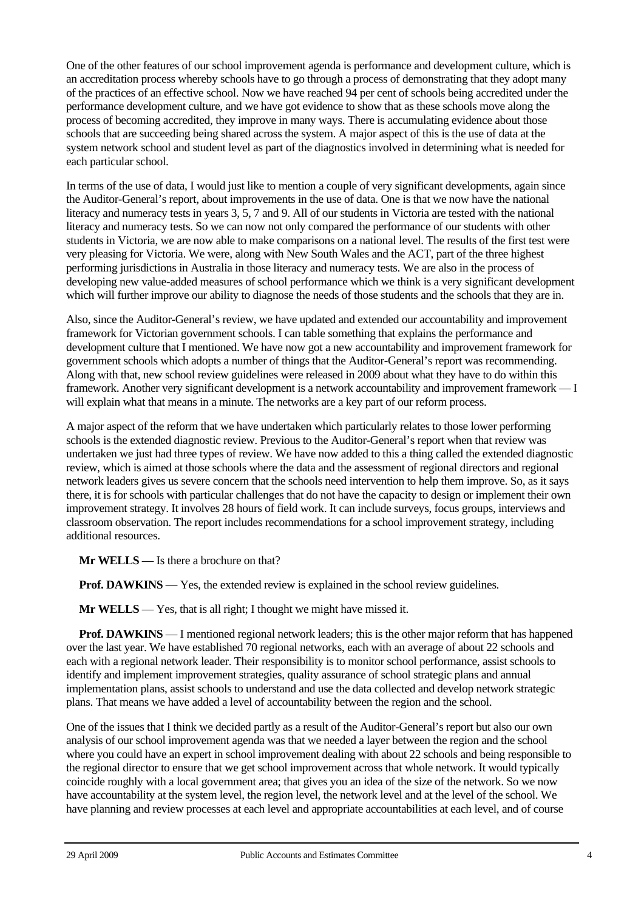One of the other features of our school improvement agenda is performance and development culture, which is an accreditation process whereby schools have to go through a process of demonstrating that they adopt many of the practices of an effective school. Now we have reached 94 per cent of schools being accredited under the performance development culture, and we have got evidence to show that as these schools move along the process of becoming accredited, they improve in many ways. There is accumulating evidence about those schools that are succeeding being shared across the system. A major aspect of this is the use of data at the system network school and student level as part of the diagnostics involved in determining what is needed for each particular school.

In terms of the use of data, I would just like to mention a couple of very significant developments, again since the Auditor-General's report, about improvements in the use of data. One is that we now have the national literacy and numeracy tests in years 3, 5, 7 and 9. All of our students in Victoria are tested with the national literacy and numeracy tests. So we can now not only compared the performance of our students with other students in Victoria, we are now able to make comparisons on a national level. The results of the first test were very pleasing for Victoria. We were, along with New South Wales and the ACT, part of the three highest performing jurisdictions in Australia in those literacy and numeracy tests. We are also in the process of developing new value-added measures of school performance which we think is a very significant development which will further improve our ability to diagnose the needs of those students and the schools that they are in.

Also, since the Auditor-General's review, we have updated and extended our accountability and improvement framework for Victorian government schools. I can table something that explains the performance and development culture that I mentioned. We have now got a new accountability and improvement framework for government schools which adopts a number of things that the Auditor-General's report was recommending. Along with that, new school review guidelines were released in 2009 about what they have to do within this framework. Another very significant development is a network accountability and improvement framework — I will explain what that means in a minute. The networks are a key part of our reform process.

A major aspect of the reform that we have undertaken which particularly relates to those lower performing schools is the extended diagnostic review. Previous to the Auditor-General's report when that review was undertaken we just had three types of review. We have now added to this a thing called the extended diagnostic review, which is aimed at those schools where the data and the assessment of regional directors and regional network leaders gives us severe concern that the schools need intervention to help them improve. So, as it says there, it is for schools with particular challenges that do not have the capacity to design or implement their own improvement strategy. It involves 28 hours of field work. It can include surveys, focus groups, interviews and classroom observation. The report includes recommendations for a school improvement strategy, including additional resources.

**Mr WELLS** — Is there a brochure on that?

**Prof. DAWKINS** — Yes, the extended review is explained in the school review guidelines.

**Mr WELLS** — Yes, that is all right; I thought we might have missed it.

**Prof. DAWKINS** — I mentioned regional network leaders; this is the other major reform that has happened over the last year. We have established 70 regional networks, each with an average of about 22 schools and each with a regional network leader. Their responsibility is to monitor school performance, assist schools to identify and implement improvement strategies, quality assurance of school strategic plans and annual implementation plans, assist schools to understand and use the data collected and develop network strategic plans. That means we have added a level of accountability between the region and the school.

One of the issues that I think we decided partly as a result of the Auditor-General's report but also our own analysis of our school improvement agenda was that we needed a layer between the region and the school where you could have an expert in school improvement dealing with about 22 schools and being responsible to the regional director to ensure that we get school improvement across that whole network. It would typically coincide roughly with a local government area; that gives you an idea of the size of the network. So we now have accountability at the system level, the region level, the network level and at the level of the school. We have planning and review processes at each level and appropriate accountabilities at each level, and of course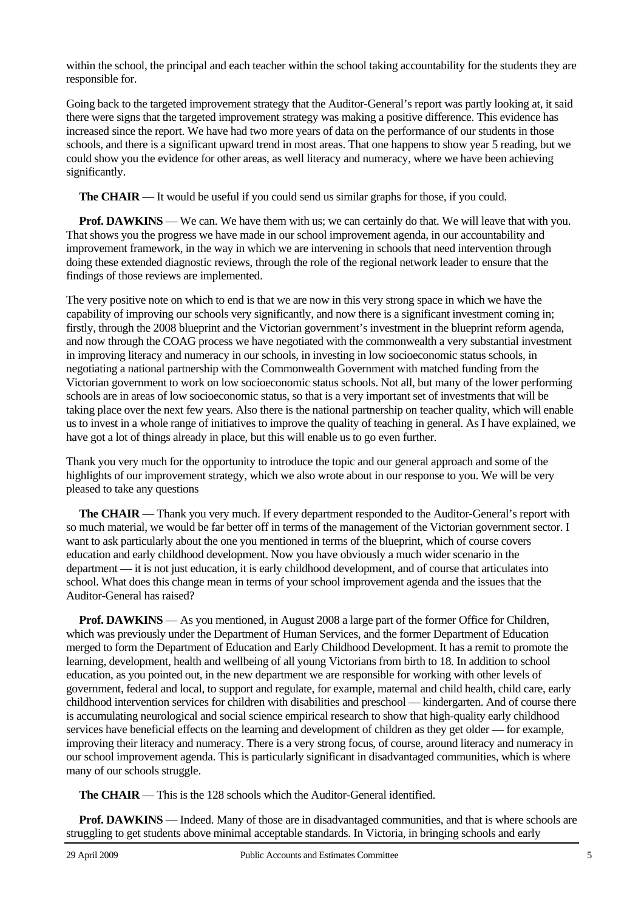within the school, the principal and each teacher within the school taking accountability for the students they are responsible for.

Going back to the targeted improvement strategy that the Auditor-General's report was partly looking at, it said there were signs that the targeted improvement strategy was making a positive difference. This evidence has increased since the report. We have had two more years of data on the performance of our students in those schools, and there is a significant upward trend in most areas. That one happens to show year 5 reading, but we could show you the evidence for other areas, as well literacy and numeracy, where we have been achieving significantly.

**The CHAIR** — It would be useful if you could send us similar graphs for those, if you could.

**Prof. DAWKINS** — We can. We have them with us; we can certainly do that. We will leave that with you. That shows you the progress we have made in our school improvement agenda, in our accountability and improvement framework, in the way in which we are intervening in schools that need intervention through doing these extended diagnostic reviews, through the role of the regional network leader to ensure that the findings of those reviews are implemented.

The very positive note on which to end is that we are now in this very strong space in which we have the capability of improving our schools very significantly, and now there is a significant investment coming in; firstly, through the 2008 blueprint and the Victorian government's investment in the blueprint reform agenda, and now through the COAG process we have negotiated with the commonwealth a very substantial investment in improving literacy and numeracy in our schools, in investing in low socioeconomic status schools, in negotiating a national partnership with the Commonwealth Government with matched funding from the Victorian government to work on low socioeconomic status schools. Not all, but many of the lower performing schools are in areas of low socioeconomic status, so that is a very important set of investments that will be taking place over the next few years. Also there is the national partnership on teacher quality, which will enable us to invest in a whole range of initiatives to improve the quality of teaching in general. As I have explained, we have got a lot of things already in place, but this will enable us to go even further.

Thank you very much for the opportunity to introduce the topic and our general approach and some of the highlights of our improvement strategy, which we also wrote about in our response to you. We will be very pleased to take any questions

**The CHAIR** — Thank you very much. If every department responded to the Auditor-General's report with so much material, we would be far better off in terms of the management of the Victorian government sector. I want to ask particularly about the one you mentioned in terms of the blueprint, which of course covers education and early childhood development. Now you have obviously a much wider scenario in the department — it is not just education, it is early childhood development, and of course that articulates into school. What does this change mean in terms of your school improvement agenda and the issues that the Auditor-General has raised?

**Prof. DAWKINS** — As you mentioned, in August 2008 a large part of the former Office for Children, which was previously under the Department of Human Services, and the former Department of Education merged to form the Department of Education and Early Childhood Development. It has a remit to promote the learning, development, health and wellbeing of all young Victorians from birth to 18. In addition to school education, as you pointed out, in the new department we are responsible for working with other levels of government, federal and local, to support and regulate, for example, maternal and child health, child care, early childhood intervention services for children with disabilities and preschool — kindergarten. And of course there is accumulating neurological and social science empirical research to show that high-quality early childhood services have beneficial effects on the learning and development of children as they get older — for example, improving their literacy and numeracy. There is a very strong focus, of course, around literacy and numeracy in our school improvement agenda. This is particularly significant in disadvantaged communities, which is where many of our schools struggle.

**The CHAIR** — This is the 128 schools which the Auditor-General identified.

**Prof. DAWKINS** — Indeed. Many of those are in disadvantaged communities, and that is where schools are struggling to get students above minimal acceptable standards. In Victoria, in bringing schools and early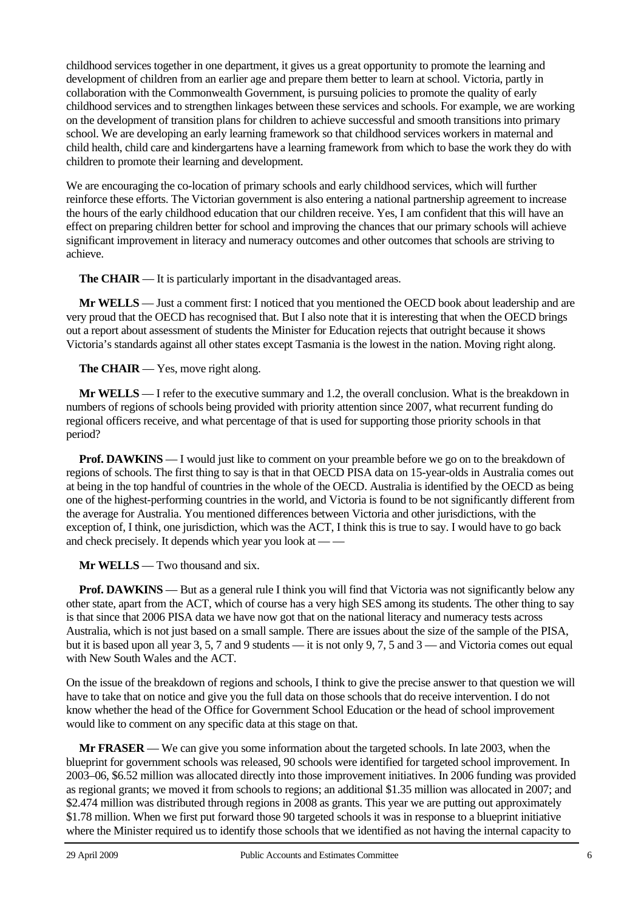childhood services together in one department, it gives us a great opportunity to promote the learning and development of children from an earlier age and prepare them better to learn at school. Victoria, partly in collaboration with the Commonwealth Government, is pursuing policies to promote the quality of early childhood services and to strengthen linkages between these services and schools. For example, we are working on the development of transition plans for children to achieve successful and smooth transitions into primary school. We are developing an early learning framework so that childhood services workers in maternal and child health, child care and kindergartens have a learning framework from which to base the work they do with children to promote their learning and development.

We are encouraging the co-location of primary schools and early childhood services, which will further reinforce these efforts. The Victorian government is also entering a national partnership agreement to increase the hours of the early childhood education that our children receive. Yes, I am confident that this will have an effect on preparing children better for school and improving the chances that our primary schools will achieve significant improvement in literacy and numeracy outcomes and other outcomes that schools are striving to achieve.

**The CHAIR** — It is particularly important in the disadvantaged areas.

**Mr WELLS** — Just a comment first: I noticed that you mentioned the OECD book about leadership and are very proud that the OECD has recognised that. But I also note that it is interesting that when the OECD brings out a report about assessment of students the Minister for Education rejects that outright because it shows Victoria's standards against all other states except Tasmania is the lowest in the nation. Moving right along.

**The CHAIR** — Yes, move right along.

**Mr WELLS** — I refer to the executive summary and 1.2, the overall conclusion. What is the breakdown in numbers of regions of schools being provided with priority attention since 2007, what recurrent funding do regional officers receive, and what percentage of that is used for supporting those priority schools in that period?

**Prof. DAWKINS** — I would just like to comment on your preamble before we go on to the breakdown of regions of schools. The first thing to say is that in that OECD PISA data on 15-year-olds in Australia comes out at being in the top handful of countries in the whole of the OECD. Australia is identified by the OECD as being one of the highest-performing countries in the world, and Victoria is found to be not significantly different from the average for Australia. You mentioned differences between Victoria and other jurisdictions, with the exception of, I think, one jurisdiction, which was the ACT, I think this is true to say. I would have to go back and check precisely. It depends which year you look at — —

**Mr WELLS** — Two thousand and six.

**Prof. DAWKINS** — But as a general rule I think you will find that Victoria was not significantly below any other state, apart from the ACT, which of course has a very high SES among its students. The other thing to say is that since that 2006 PISA data we have now got that on the national literacy and numeracy tests across Australia, which is not just based on a small sample. There are issues about the size of the sample of the PISA, but it is based upon all year 3, 5, 7 and 9 students — it is not only 9, 7, 5 and 3 — and Victoria comes out equal with New South Wales and the ACT.

On the issue of the breakdown of regions and schools, I think to give the precise answer to that question we will have to take that on notice and give you the full data on those schools that do receive intervention. I do not know whether the head of the Office for Government School Education or the head of school improvement would like to comment on any specific data at this stage on that.

**Mr FRASER** — We can give you some information about the targeted schools. In late 2003, when the blueprint for government schools was released, 90 schools were identified for targeted school improvement. In 2003–06, \$6.52 million was allocated directly into those improvement initiatives. In 2006 funding was provided as regional grants; we moved it from schools to regions; an additional \$1.35 million was allocated in 2007; and \$2.474 million was distributed through regions in 2008 as grants. This year we are putting out approximately \$1.78 million. When we first put forward those 90 targeted schools it was in response to a blueprint initiative where the Minister required us to identify those schools that we identified as not having the internal capacity to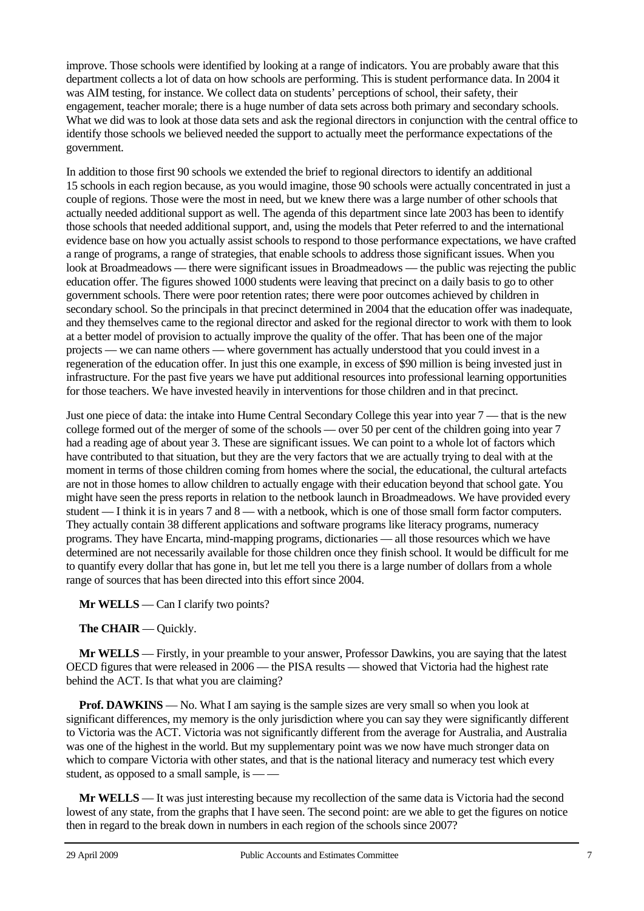improve. Those schools were identified by looking at a range of indicators. You are probably aware that this department collects a lot of data on how schools are performing. This is student performance data. In 2004 it was AIM testing, for instance. We collect data on students' perceptions of school, their safety, their engagement, teacher morale; there is a huge number of data sets across both primary and secondary schools. What we did was to look at those data sets and ask the regional directors in conjunction with the central office to identify those schools we believed needed the support to actually meet the performance expectations of the government.

In addition to those first 90 schools we extended the brief to regional directors to identify an additional 15 schools in each region because, as you would imagine, those 90 schools were actually concentrated in just a couple of regions. Those were the most in need, but we knew there was a large number of other schools that actually needed additional support as well. The agenda of this department since late 2003 has been to identify those schools that needed additional support, and, using the models that Peter referred to and the international evidence base on how you actually assist schools to respond to those performance expectations, we have crafted a range of programs, a range of strategies, that enable schools to address those significant issues. When you look at Broadmeadows — there were significant issues in Broadmeadows — the public was rejecting the public education offer. The figures showed 1000 students were leaving that precinct on a daily basis to go to other government schools. There were poor retention rates; there were poor outcomes achieved by children in secondary school. So the principals in that precinct determined in 2004 that the education offer was inadequate, and they themselves came to the regional director and asked for the regional director to work with them to look at a better model of provision to actually improve the quality of the offer. That has been one of the major projects — we can name others — where government has actually understood that you could invest in a regeneration of the education offer. In just this one example, in excess of \$90 million is being invested just in infrastructure. For the past five years we have put additional resources into professional learning opportunities for those teachers. We have invested heavily in interventions for those children and in that precinct.

Just one piece of data: the intake into Hume Central Secondary College this year into year 7 — that is the new college formed out of the merger of some of the schools — over 50 per cent of the children going into year 7 had a reading age of about year 3. These are significant issues. We can point to a whole lot of factors which have contributed to that situation, but they are the very factors that we are actually trying to deal with at the moment in terms of those children coming from homes where the social, the educational, the cultural artefacts are not in those homes to allow children to actually engage with their education beyond that school gate. You might have seen the press reports in relation to the netbook launch in Broadmeadows. We have provided every student — I think it is in years 7 and 8 — with a netbook, which is one of those small form factor computers. They actually contain 38 different applications and software programs like literacy programs, numeracy programs. They have Encarta, mind-mapping programs, dictionaries — all those resources which we have determined are not necessarily available for those children once they finish school. It would be difficult for me to quantify every dollar that has gone in, but let me tell you there is a large number of dollars from a whole range of sources that has been directed into this effort since 2004.

**Mr WELLS** — Can I clarify two points?

**The CHAIR** — Quickly.

**Mr WELLS** — Firstly, in your preamble to your answer, Professor Dawkins, you are saying that the latest OECD figures that were released in 2006 — the PISA results — showed that Victoria had the highest rate behind the ACT. Is that what you are claiming?

**Prof. DAWKINS** — No. What I am saying is the sample sizes are very small so when you look at significant differences, my memory is the only jurisdiction where you can say they were significantly different to Victoria was the ACT. Victoria was not significantly different from the average for Australia, and Australia was one of the highest in the world. But my supplementary point was we now have much stronger data on which to compare Victoria with other states, and that is the national literacy and numeracy test which every student, as opposed to a small sample, is — —

**Mr WELLS** — It was just interesting because my recollection of the same data is Victoria had the second lowest of any state, from the graphs that I have seen. The second point: are we able to get the figures on notice then in regard to the break down in numbers in each region of the schools since 2007?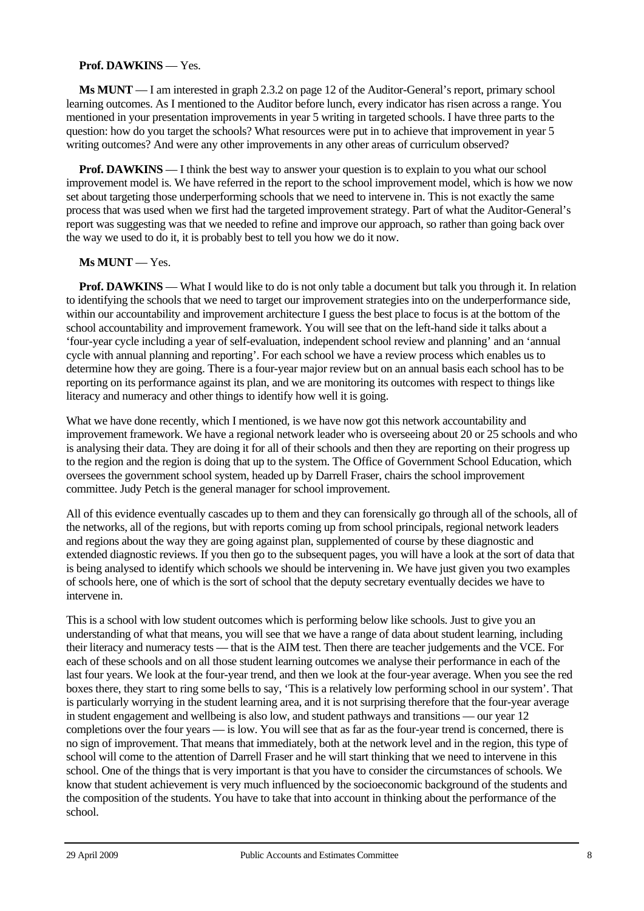## **Prof. DAWKINS** — Yes.

**Ms MUNT** — I am interested in graph 2.3.2 on page 12 of the Auditor-General's report, primary school learning outcomes. As I mentioned to the Auditor before lunch, every indicator has risen across a range. You mentioned in your presentation improvements in year 5 writing in targeted schools. I have three parts to the question: how do you target the schools? What resources were put in to achieve that improvement in year 5 writing outcomes? And were any other improvements in any other areas of curriculum observed?

**Prof. DAWKINS** — I think the best way to answer your question is to explain to you what our school improvement model is. We have referred in the report to the school improvement model, which is how we now set about targeting those underperforming schools that we need to intervene in. This is not exactly the same process that was used when we first had the targeted improvement strategy. Part of what the Auditor-General's report was suggesting was that we needed to refine and improve our approach, so rather than going back over the way we used to do it, it is probably best to tell you how we do it now.

## **Ms MUNT** — Yes.

**Prof. DAWKINS** — What I would like to do is not only table a document but talk you through it. In relation to identifying the schools that we need to target our improvement strategies into on the underperformance side, within our accountability and improvement architecture I guess the best place to focus is at the bottom of the school accountability and improvement framework. You will see that on the left-hand side it talks about a 'four-year cycle including a year of self-evaluation, independent school review and planning' and an 'annual cycle with annual planning and reporting'. For each school we have a review process which enables us to determine how they are going. There is a four-year major review but on an annual basis each school has to be reporting on its performance against its plan, and we are monitoring its outcomes with respect to things like literacy and numeracy and other things to identify how well it is going.

What we have done recently, which I mentioned, is we have now got this network accountability and improvement framework. We have a regional network leader who is overseeing about 20 or 25 schools and who is analysing their data. They are doing it for all of their schools and then they are reporting on their progress up to the region and the region is doing that up to the system. The Office of Government School Education, which oversees the government school system, headed up by Darrell Fraser, chairs the school improvement committee. Judy Petch is the general manager for school improvement.

All of this evidence eventually cascades up to them and they can forensically go through all of the schools, all of the networks, all of the regions, but with reports coming up from school principals, regional network leaders and regions about the way they are going against plan, supplemented of course by these diagnostic and extended diagnostic reviews. If you then go to the subsequent pages, you will have a look at the sort of data that is being analysed to identify which schools we should be intervening in. We have just given you two examples of schools here, one of which is the sort of school that the deputy secretary eventually decides we have to intervene in.

This is a school with low student outcomes which is performing below like schools. Just to give you an understanding of what that means, you will see that we have a range of data about student learning, including their literacy and numeracy tests — that is the AIM test. Then there are teacher judgements and the VCE. For each of these schools and on all those student learning outcomes we analyse their performance in each of the last four years. We look at the four-year trend, and then we look at the four-year average. When you see the red boxes there, they start to ring some bells to say, 'This is a relatively low performing school in our system'. That is particularly worrying in the student learning area, and it is not surprising therefore that the four-year average in student engagement and wellbeing is also low, and student pathways and transitions — our year 12 completions over the four years — is low. You will see that as far as the four-year trend is concerned, there is no sign of improvement. That means that immediately, both at the network level and in the region, this type of school will come to the attention of Darrell Fraser and he will start thinking that we need to intervene in this school. One of the things that is very important is that you have to consider the circumstances of schools. We know that student achievement is very much influenced by the socioeconomic background of the students and the composition of the students. You have to take that into account in thinking about the performance of the school.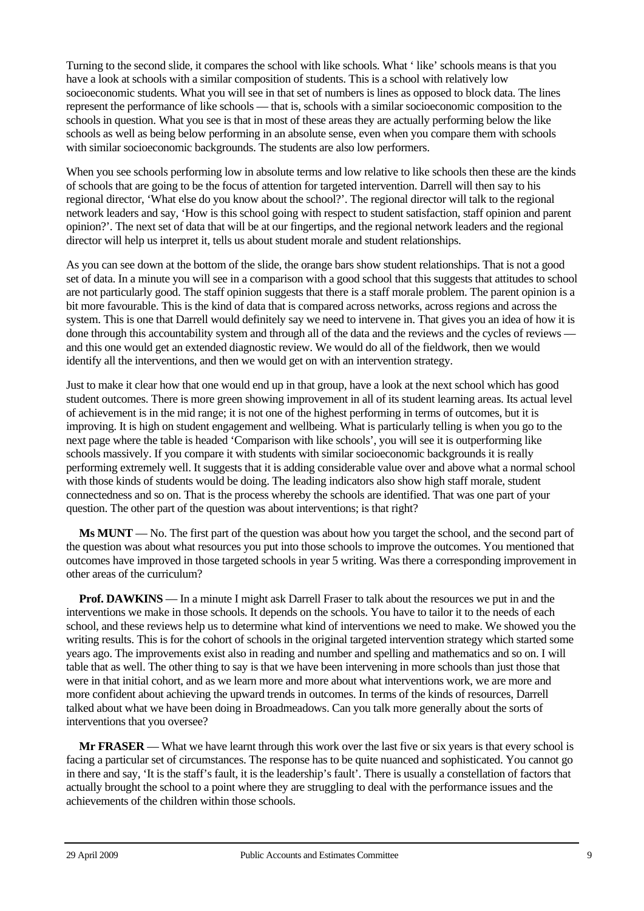Turning to the second slide, it compares the school with like schools. What ' like' schools means is that you have a look at schools with a similar composition of students. This is a school with relatively low socioeconomic students. What you will see in that set of numbers is lines as opposed to block data. The lines represent the performance of like schools — that is, schools with a similar socioeconomic composition to the schools in question. What you see is that in most of these areas they are actually performing below the like schools as well as being below performing in an absolute sense, even when you compare them with schools with similar socioeconomic backgrounds. The students are also low performers.

When you see schools performing low in absolute terms and low relative to like schools then these are the kinds of schools that are going to be the focus of attention for targeted intervention. Darrell will then say to his regional director, 'What else do you know about the school?'. The regional director will talk to the regional network leaders and say, 'How is this school going with respect to student satisfaction, staff opinion and parent opinion?'. The next set of data that will be at our fingertips, and the regional network leaders and the regional director will help us interpret it, tells us about student morale and student relationships.

As you can see down at the bottom of the slide, the orange bars show student relationships. That is not a good set of data. In a minute you will see in a comparison with a good school that this suggests that attitudes to school are not particularly good. The staff opinion suggests that there is a staff morale problem. The parent opinion is a bit more favourable. This is the kind of data that is compared across networks, across regions and across the system. This is one that Darrell would definitely say we need to intervene in. That gives you an idea of how it is done through this accountability system and through all of the data and the reviews and the cycles of reviews and this one would get an extended diagnostic review. We would do all of the fieldwork, then we would identify all the interventions, and then we would get on with an intervention strategy.

Just to make it clear how that one would end up in that group, have a look at the next school which has good student outcomes. There is more green showing improvement in all of its student learning areas. Its actual level of achievement is in the mid range; it is not one of the highest performing in terms of outcomes, but it is improving. It is high on student engagement and wellbeing. What is particularly telling is when you go to the next page where the table is headed 'Comparison with like schools', you will see it is outperforming like schools massively. If you compare it with students with similar socioeconomic backgrounds it is really performing extremely well. It suggests that it is adding considerable value over and above what a normal school with those kinds of students would be doing. The leading indicators also show high staff morale, student connectedness and so on. That is the process whereby the schools are identified. That was one part of your question. The other part of the question was about interventions; is that right?

**Ms MUNT** — No. The first part of the question was about how you target the school, and the second part of the question was about what resources you put into those schools to improve the outcomes. You mentioned that outcomes have improved in those targeted schools in year 5 writing. Was there a corresponding improvement in other areas of the curriculum?

**Prof. DAWKINS** — In a minute I might ask Darrell Fraser to talk about the resources we put in and the interventions we make in those schools. It depends on the schools. You have to tailor it to the needs of each school, and these reviews help us to determine what kind of interventions we need to make. We showed you the writing results. This is for the cohort of schools in the original targeted intervention strategy which started some years ago. The improvements exist also in reading and number and spelling and mathematics and so on. I will table that as well. The other thing to say is that we have been intervening in more schools than just those that were in that initial cohort, and as we learn more and more about what interventions work, we are more and more confident about achieving the upward trends in outcomes. In terms of the kinds of resources, Darrell talked about what we have been doing in Broadmeadows. Can you talk more generally about the sorts of interventions that you oversee?

**Mr FRASER** — What we have learnt through this work over the last five or six years is that every school is facing a particular set of circumstances. The response has to be quite nuanced and sophisticated. You cannot go in there and say, 'It is the staff's fault, it is the leadership's fault'. There is usually a constellation of factors that actually brought the school to a point where they are struggling to deal with the performance issues and the achievements of the children within those schools.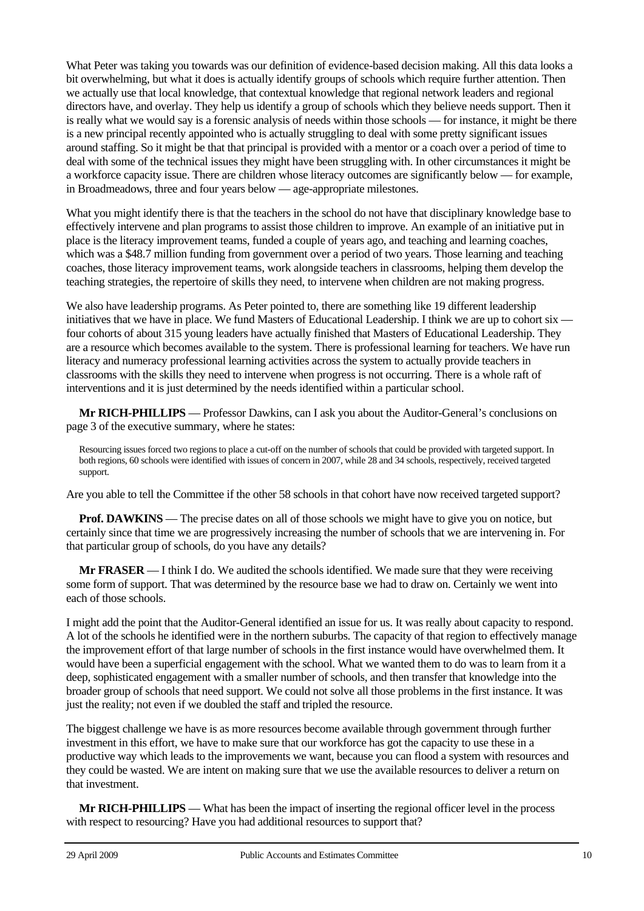What Peter was taking you towards was our definition of evidence-based decision making. All this data looks a bit overwhelming, but what it does is actually identify groups of schools which require further attention. Then we actually use that local knowledge, that contextual knowledge that regional network leaders and regional directors have, and overlay. They help us identify a group of schools which they believe needs support. Then it is really what we would say is a forensic analysis of needs within those schools — for instance, it might be there is a new principal recently appointed who is actually struggling to deal with some pretty significant issues around staffing. So it might be that that principal is provided with a mentor or a coach over a period of time to deal with some of the technical issues they might have been struggling with. In other circumstances it might be a workforce capacity issue. There are children whose literacy outcomes are significantly below — for example, in Broadmeadows, three and four years below — age-appropriate milestones.

What you might identify there is that the teachers in the school do not have that disciplinary knowledge base to effectively intervene and plan programs to assist those children to improve. An example of an initiative put in place is the literacy improvement teams, funded a couple of years ago, and teaching and learning coaches, which was a \$48.7 million funding from government over a period of two years. Those learning and teaching coaches, those literacy improvement teams, work alongside teachers in classrooms, helping them develop the teaching strategies, the repertoire of skills they need, to intervene when children are not making progress.

We also have leadership programs. As Peter pointed to, there are something like 19 different leadership initiatives that we have in place. We fund Masters of Educational Leadership. I think we are up to cohort six four cohorts of about 315 young leaders have actually finished that Masters of Educational Leadership. They are a resource which becomes available to the system. There is professional learning for teachers. We have run literacy and numeracy professional learning activities across the system to actually provide teachers in classrooms with the skills they need to intervene when progress is not occurring. There is a whole raft of interventions and it is just determined by the needs identified within a particular school.

**Mr RICH-PHILLIPS** — Professor Dawkins, can I ask you about the Auditor-General's conclusions on page 3 of the executive summary, where he states:

Resourcing issues forced two regions to place a cut-off on the number of schools that could be provided with targeted support. In both regions, 60 schools were identified with issues of concern in 2007, while 28 and 34 schools, respectively, received targeted support.

Are you able to tell the Committee if the other 58 schools in that cohort have now received targeted support?

**Prof. DAWKINS** — The precise dates on all of those schools we might have to give you on notice, but certainly since that time we are progressively increasing the number of schools that we are intervening in. For that particular group of schools, do you have any details?

**Mr FRASER** — I think I do. We audited the schools identified. We made sure that they were receiving some form of support. That was determined by the resource base we had to draw on. Certainly we went into each of those schools.

I might add the point that the Auditor-General identified an issue for us. It was really about capacity to respond. A lot of the schools he identified were in the northern suburbs. The capacity of that region to effectively manage the improvement effort of that large number of schools in the first instance would have overwhelmed them. It would have been a superficial engagement with the school. What we wanted them to do was to learn from it a deep, sophisticated engagement with a smaller number of schools, and then transfer that knowledge into the broader group of schools that need support. We could not solve all those problems in the first instance. It was just the reality; not even if we doubled the staff and tripled the resource.

The biggest challenge we have is as more resources become available through government through further investment in this effort, we have to make sure that our workforce has got the capacity to use these in a productive way which leads to the improvements we want, because you can flood a system with resources and they could be wasted. We are intent on making sure that we use the available resources to deliver a return on that investment.

**Mr RICH-PHILLIPS** — What has been the impact of inserting the regional officer level in the process with respect to resourcing? Have you had additional resources to support that?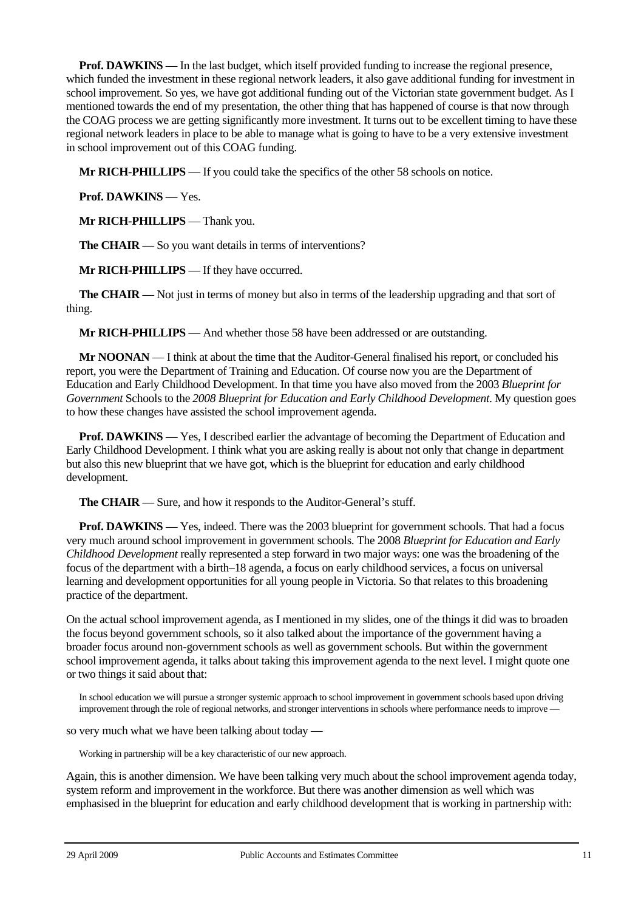**Prof. DAWKINS** — In the last budget, which itself provided funding to increase the regional presence, which funded the investment in these regional network leaders, it also gave additional funding for investment in school improvement. So yes, we have got additional funding out of the Victorian state government budget. As I mentioned towards the end of my presentation, the other thing that has happened of course is that now through the COAG process we are getting significantly more investment. It turns out to be excellent timing to have these regional network leaders in place to be able to manage what is going to have to be a very extensive investment in school improvement out of this COAG funding.

**Mr RICH-PHILLIPS** — If you could take the specifics of the other 58 schools on notice.

**Prof. DAWKINS** — Yes.

**Mr RICH-PHILLIPS** — Thank you.

**The CHAIR** — So you want details in terms of interventions?

**Mr RICH-PHILLIPS** — If they have occurred.

**The CHAIR** — Not just in terms of money but also in terms of the leadership upgrading and that sort of thing.

**Mr RICH-PHILLIPS** — And whether those 58 have been addressed or are outstanding.

**Mr NOONAN** — I think at about the time that the Auditor-General finalised his report, or concluded his report, you were the Department of Training and Education. Of course now you are the Department of Education and Early Childhood Development. In that time you have also moved from the 2003 *Blueprint for Government* Schools to the *2008 Blueprint for Education and Early Childhood Development*. My question goes to how these changes have assisted the school improvement agenda.

**Prof. DAWKINS** — Yes, I described earlier the advantage of becoming the Department of Education and Early Childhood Development. I think what you are asking really is about not only that change in department but also this new blueprint that we have got, which is the blueprint for education and early childhood development.

**The CHAIR** — Sure, and how it responds to the Auditor-General's stuff.

**Prof. DAWKINS** — Yes, indeed. There was the 2003 blueprint for government schools. That had a focus very much around school improvement in government schools. The 2008 *Blueprint for Education and Early Childhood Development* really represented a step forward in two major ways: one was the broadening of the focus of the department with a birth–18 agenda, a focus on early childhood services, a focus on universal learning and development opportunities for all young people in Victoria. So that relates to this broadening practice of the department.

On the actual school improvement agenda, as I mentioned in my slides, one of the things it did was to broaden the focus beyond government schools, so it also talked about the importance of the government having a broader focus around non-government schools as well as government schools. But within the government school improvement agenda, it talks about taking this improvement agenda to the next level. I might quote one or two things it said about that:

In school education we will pursue a stronger systemic approach to school improvement in government schools based upon driving improvement through the role of regional networks, and stronger interventions in schools where performance needs to improve –

so very much what we have been talking about today —

Working in partnership will be a key characteristic of our new approach.

Again, this is another dimension. We have been talking very much about the school improvement agenda today, system reform and improvement in the workforce. But there was another dimension as well which was emphasised in the blueprint for education and early childhood development that is working in partnership with: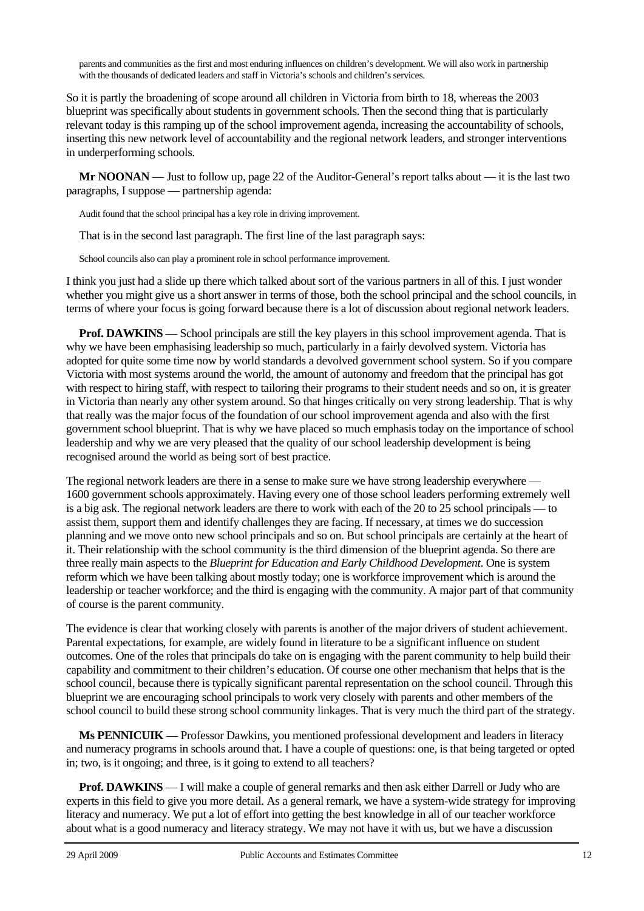parents and communities as the first and most enduring influences on children's development. We will also work in partnership with the thousands of dedicated leaders and staff in Victoria's schools and children's services.

So it is partly the broadening of scope around all children in Victoria from birth to 18, whereas the 2003 blueprint was specifically about students in government schools. Then the second thing that is particularly relevant today is this ramping up of the school improvement agenda, increasing the accountability of schools, inserting this new network level of accountability and the regional network leaders, and stronger interventions in underperforming schools.

**Mr NOONAN** — Just to follow up, page 22 of the Auditor-General's report talks about — it is the last two paragraphs, I suppose — partnership agenda:

Audit found that the school principal has a key role in driving improvement.

That is in the second last paragraph. The first line of the last paragraph says:

School councils also can play a prominent role in school performance improvement.

I think you just had a slide up there which talked about sort of the various partners in all of this. I just wonder whether you might give us a short answer in terms of those, both the school principal and the school councils, in terms of where your focus is going forward because there is a lot of discussion about regional network leaders.

**Prof. DAWKINS** — School principals are still the key players in this school improvement agenda. That is why we have been emphasising leadership so much, particularly in a fairly devolved system. Victoria has adopted for quite some time now by world standards a devolved government school system. So if you compare Victoria with most systems around the world, the amount of autonomy and freedom that the principal has got with respect to hiring staff, with respect to tailoring their programs to their student needs and so on, it is greater in Victoria than nearly any other system around. So that hinges critically on very strong leadership. That is why that really was the major focus of the foundation of our school improvement agenda and also with the first government school blueprint. That is why we have placed so much emphasis today on the importance of school leadership and why we are very pleased that the quality of our school leadership development is being recognised around the world as being sort of best practice.

The regional network leaders are there in a sense to make sure we have strong leadership everywhere — 1600 government schools approximately. Having every one of those school leaders performing extremely well is a big ask. The regional network leaders are there to work with each of the 20 to 25 school principals — to assist them, support them and identify challenges they are facing. If necessary, at times we do succession planning and we move onto new school principals and so on. But school principals are certainly at the heart of it. Their relationship with the school community is the third dimension of the blueprint agenda. So there are three really main aspects to the *Blueprint for Education and Early Childhood Development*. One is system reform which we have been talking about mostly today; one is workforce improvement which is around the leadership or teacher workforce; and the third is engaging with the community. A major part of that community of course is the parent community.

The evidence is clear that working closely with parents is another of the major drivers of student achievement. Parental expectations, for example, are widely found in literature to be a significant influence on student outcomes. One of the roles that principals do take on is engaging with the parent community to help build their capability and commitment to their children's education. Of course one other mechanism that helps that is the school council, because there is typically significant parental representation on the school council. Through this blueprint we are encouraging school principals to work very closely with parents and other members of the school council to build these strong school community linkages. That is very much the third part of the strategy.

**Ms PENNICUIK** — Professor Dawkins, you mentioned professional development and leaders in literacy and numeracy programs in schools around that. I have a couple of questions: one, is that being targeted or opted in; two, is it ongoing; and three, is it going to extend to all teachers?

**Prof. DAWKINS** — I will make a couple of general remarks and then ask either Darrell or Judy who are experts in this field to give you more detail. As a general remark, we have a system-wide strategy for improving literacy and numeracy. We put a lot of effort into getting the best knowledge in all of our teacher workforce about what is a good numeracy and literacy strategy. We may not have it with us, but we have a discussion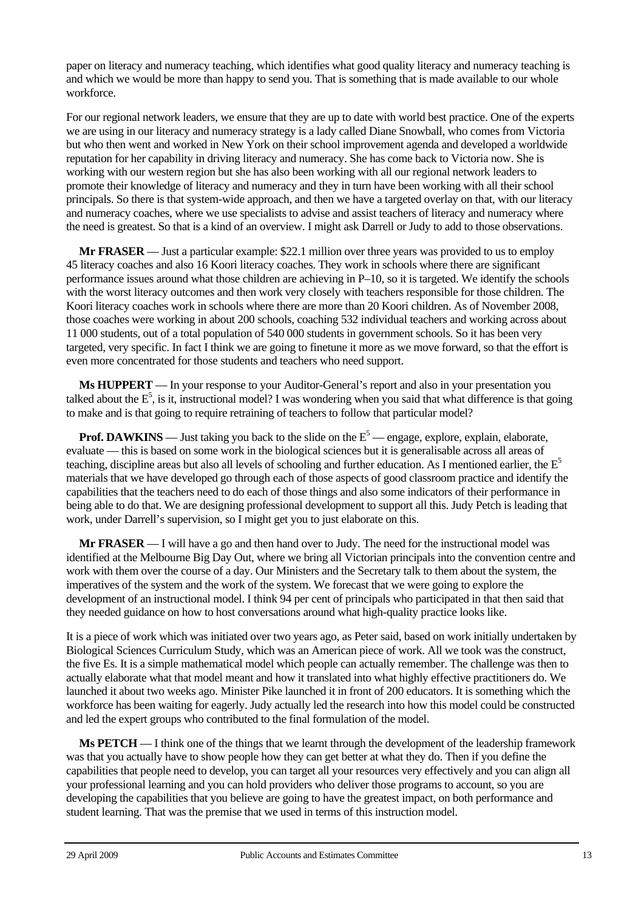paper on literacy and numeracy teaching, which identifies what good quality literacy and numeracy teaching is and which we would be more than happy to send you. That is something that is made available to our whole workforce.

For our regional network leaders, we ensure that they are up to date with world best practice. One of the experts we are using in our literacy and numeracy strategy is a lady called Diane Snowball, who comes from Victoria but who then went and worked in New York on their school improvement agenda and developed a worldwide reputation for her capability in driving literacy and numeracy. She has come back to Victoria now. She is working with our western region but she has also been working with all our regional network leaders to promote their knowledge of literacy and numeracy and they in turn have been working with all their school principals. So there is that system-wide approach, and then we have a targeted overlay on that, with our literacy and numeracy coaches, where we use specialists to advise and assist teachers of literacy and numeracy where the need is greatest. So that is a kind of an overview. I might ask Darrell or Judy to add to those observations.

**Mr FRASER** — Just a particular example: \$22.1 million over three years was provided to us to employ 45 literacy coaches and also 16 Koori literacy coaches. They work in schools where there are significant performance issues around what those children are achieving in P–10, so it is targeted. We identify the schools with the worst literacy outcomes and then work very closely with teachers responsible for those children. The Koori literacy coaches work in schools where there are more than 20 Koori children. As of November 2008, those coaches were working in about 200 schools, coaching 532 individual teachers and working across about 11 000 students, out of a total population of 540 000 students in government schools. So it has been very targeted, very specific. In fact I think we are going to finetune it more as we move forward, so that the effort is even more concentrated for those students and teachers who need support.

**Ms HUPPERT** — In your response to your Auditor-General's report and also in your presentation you talked about the  $E^5$ , is it, instructional model? I was wondering when you said that what difference is that going to make and is that going to require retraining of teachers to follow that particular model?

**Prof. DAWKINS** — Just taking you back to the slide on the  $E^5$  — engage, explore, explain, elaborate, evaluate — this is based on some work in the biological sciences but it is generalisable across all areas of teaching, discipline areas but also all levels of schooling and further education. As I mentioned earlier, the  $E<sup>5</sup>$ materials that we have developed go through each of those aspects of good classroom practice and identify the capabilities that the teachers need to do each of those things and also some indicators of their performance in being able to do that. We are designing professional development to support all this. Judy Petch is leading that work, under Darrell's supervision, so I might get you to just elaborate on this.

**Mr FRASER** — I will have a go and then hand over to Judy. The need for the instructional model was identified at the Melbourne Big Day Out, where we bring all Victorian principals into the convention centre and work with them over the course of a day. Our Ministers and the Secretary talk to them about the system, the imperatives of the system and the work of the system. We forecast that we were going to explore the development of an instructional model. I think 94 per cent of principals who participated in that then said that they needed guidance on how to host conversations around what high-quality practice looks like.

It is a piece of work which was initiated over two years ago, as Peter said, based on work initially undertaken by Biological Sciences Curriculum Study, which was an American piece of work. All we took was the construct, the five Es. It is a simple mathematical model which people can actually remember. The challenge was then to actually elaborate what that model meant and how it translated into what highly effective practitioners do. We launched it about two weeks ago. Minister Pike launched it in front of 200 educators. It is something which the workforce has been waiting for eagerly. Judy actually led the research into how this model could be constructed and led the expert groups who contributed to the final formulation of the model.

**Ms PETCH** — I think one of the things that we learnt through the development of the leadership framework was that you actually have to show people how they can get better at what they do. Then if you define the capabilities that people need to develop, you can target all your resources very effectively and you can align all your professional learning and you can hold providers who deliver those programs to account, so you are developing the capabilities that you believe are going to have the greatest impact, on both performance and student learning. That was the premise that we used in terms of this instruction model.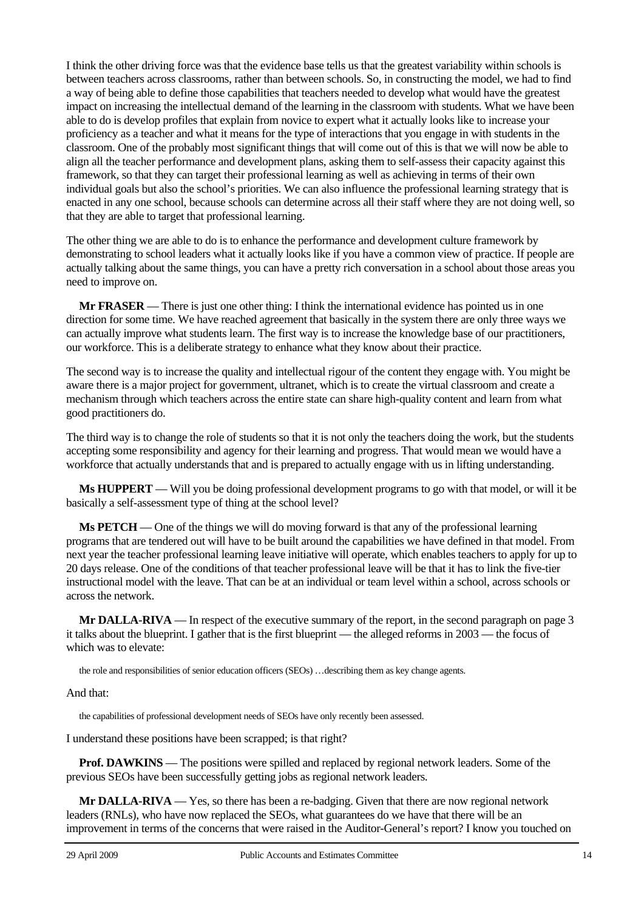I think the other driving force was that the evidence base tells us that the greatest variability within schools is between teachers across classrooms, rather than between schools. So, in constructing the model, we had to find a way of being able to define those capabilities that teachers needed to develop what would have the greatest impact on increasing the intellectual demand of the learning in the classroom with students. What we have been able to do is develop profiles that explain from novice to expert what it actually looks like to increase your proficiency as a teacher and what it means for the type of interactions that you engage in with students in the classroom. One of the probably most significant things that will come out of this is that we will now be able to align all the teacher performance and development plans, asking them to self-assess their capacity against this framework, so that they can target their professional learning as well as achieving in terms of their own individual goals but also the school's priorities. We can also influence the professional learning strategy that is enacted in any one school, because schools can determine across all their staff where they are not doing well, so that they are able to target that professional learning.

The other thing we are able to do is to enhance the performance and development culture framework by demonstrating to school leaders what it actually looks like if you have a common view of practice. If people are actually talking about the same things, you can have a pretty rich conversation in a school about those areas you need to improve on.

**Mr FRASER** — There is just one other thing: I think the international evidence has pointed us in one direction for some time. We have reached agreement that basically in the system there are only three ways we can actually improve what students learn. The first way is to increase the knowledge base of our practitioners, our workforce. This is a deliberate strategy to enhance what they know about their practice.

The second way is to increase the quality and intellectual rigour of the content they engage with. You might be aware there is a major project for government, ultranet, which is to create the virtual classroom and create a mechanism through which teachers across the entire state can share high-quality content and learn from what good practitioners do.

The third way is to change the role of students so that it is not only the teachers doing the work, but the students accepting some responsibility and agency for their learning and progress. That would mean we would have a workforce that actually understands that and is prepared to actually engage with us in lifting understanding.

**Ms HUPPERT** — Will you be doing professional development programs to go with that model, or will it be basically a self-assessment type of thing at the school level?

**Ms PETCH** — One of the things we will do moving forward is that any of the professional learning programs that are tendered out will have to be built around the capabilities we have defined in that model. From next year the teacher professional learning leave initiative will operate, which enables teachers to apply for up to 20 days release. One of the conditions of that teacher professional leave will be that it has to link the five-tier instructional model with the leave. That can be at an individual or team level within a school, across schools or across the network.

**Mr DALLA-RIVA** — In respect of the executive summary of the report, in the second paragraph on page 3 it talks about the blueprint. I gather that is the first blueprint — the alleged reforms in 2003 — the focus of which was to elevate:

the role and responsibilities of senior education officers (SEOs) …describing them as key change agents.

And that:

the capabilities of professional development needs of SEOs have only recently been assessed.

I understand these positions have been scrapped; is that right?

**Prof. DAWKINS** — The positions were spilled and replaced by regional network leaders. Some of the previous SEOs have been successfully getting jobs as regional network leaders.

**Mr DALLA-RIVA** — Yes, so there has been a re-badging. Given that there are now regional network leaders (RNLs), who have now replaced the SEOs, what guarantees do we have that there will be an improvement in terms of the concerns that were raised in the Auditor-General's report? I know you touched on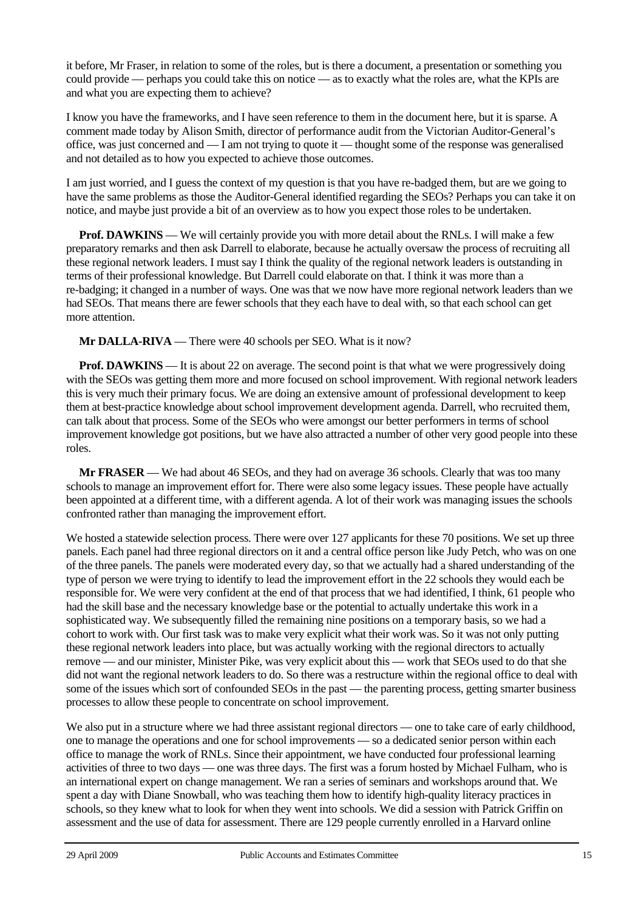it before, Mr Fraser, in relation to some of the roles, but is there a document, a presentation or something you could provide — perhaps you could take this on notice — as to exactly what the roles are, what the KPIs are and what you are expecting them to achieve?

I know you have the frameworks, and I have seen reference to them in the document here, but it is sparse. A comment made today by Alison Smith, director of performance audit from the Victorian Auditor-General's office, was just concerned and — I am not trying to quote it — thought some of the response was generalised and not detailed as to how you expected to achieve those outcomes.

I am just worried, and I guess the context of my question is that you have re-badged them, but are we going to have the same problems as those the Auditor-General identified regarding the SEOs? Perhaps you can take it on notice, and maybe just provide a bit of an overview as to how you expect those roles to be undertaken.

**Prof. DAWKINS** — We will certainly provide you with more detail about the RNLs. I will make a few preparatory remarks and then ask Darrell to elaborate, because he actually oversaw the process of recruiting all these regional network leaders. I must say I think the quality of the regional network leaders is outstanding in terms of their professional knowledge. But Darrell could elaborate on that. I think it was more than a re-badging; it changed in a number of ways. One was that we now have more regional network leaders than we had SEOs. That means there are fewer schools that they each have to deal with, so that each school can get more attention.

**Mr DALLA-RIVA** — There were 40 schools per SEO. What is it now?

**Prof. DAWKINS** — It is about 22 on average. The second point is that what we were progressively doing with the SEOs was getting them more and more focused on school improvement. With regional network leaders this is very much their primary focus. We are doing an extensive amount of professional development to keep them at best-practice knowledge about school improvement development agenda. Darrell, who recruited them, can talk about that process. Some of the SEOs who were amongst our better performers in terms of school improvement knowledge got positions, but we have also attracted a number of other very good people into these roles.

**Mr FRASER** — We had about 46 SEOs, and they had on average 36 schools. Clearly that was too many schools to manage an improvement effort for. There were also some legacy issues. These people have actually been appointed at a different time, with a different agenda. A lot of their work was managing issues the schools confronted rather than managing the improvement effort.

We hosted a statewide selection process. There were over 127 applicants for these 70 positions. We set up three panels. Each panel had three regional directors on it and a central office person like Judy Petch, who was on one of the three panels. The panels were moderated every day, so that we actually had a shared understanding of the type of person we were trying to identify to lead the improvement effort in the 22 schools they would each be responsible for. We were very confident at the end of that process that we had identified, I think, 61 people who had the skill base and the necessary knowledge base or the potential to actually undertake this work in a sophisticated way. We subsequently filled the remaining nine positions on a temporary basis, so we had a cohort to work with. Our first task was to make very explicit what their work was. So it was not only putting these regional network leaders into place, but was actually working with the regional directors to actually remove — and our minister, Minister Pike, was very explicit about this — work that SEOs used to do that she did not want the regional network leaders to do. So there was a restructure within the regional office to deal with some of the issues which sort of confounded SEOs in the past — the parenting process, getting smarter business processes to allow these people to concentrate on school improvement.

We also put in a structure where we had three assistant regional directors — one to take care of early childhood, one to manage the operations and one for school improvements — so a dedicated senior person within each office to manage the work of RNLs. Since their appointment, we have conducted four professional learning activities of three to two days — one was three days. The first was a forum hosted by Michael Fulham, who is an international expert on change management. We ran a series of seminars and workshops around that. We spent a day with Diane Snowball, who was teaching them how to identify high-quality literacy practices in schools, so they knew what to look for when they went into schools. We did a session with Patrick Griffin on assessment and the use of data for assessment. There are 129 people currently enrolled in a Harvard online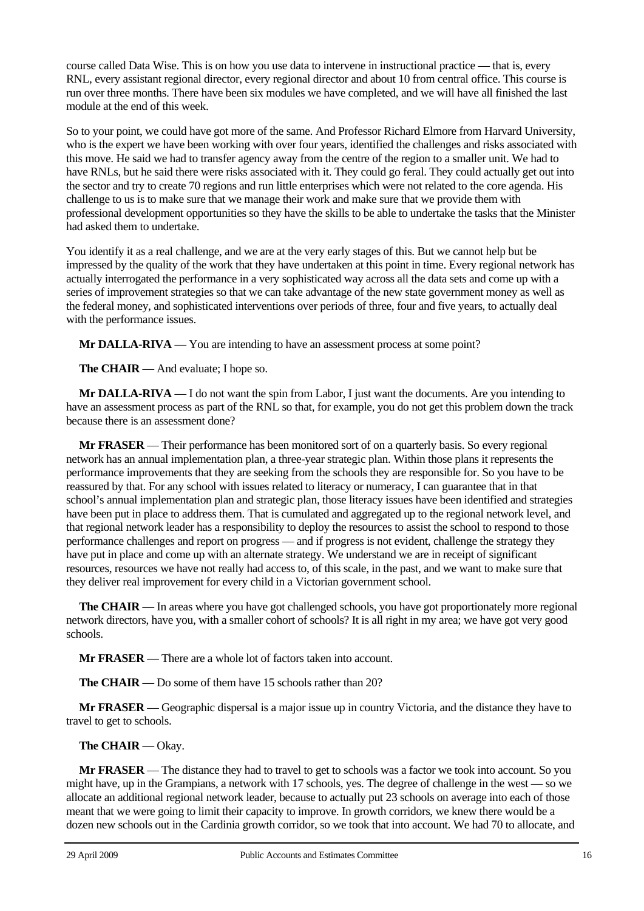course called Data Wise. This is on how you use data to intervene in instructional practice — that is, every RNL, every assistant regional director, every regional director and about 10 from central office. This course is run over three months. There have been six modules we have completed, and we will have all finished the last module at the end of this week.

So to your point, we could have got more of the same. And Professor Richard Elmore from Harvard University, who is the expert we have been working with over four years, identified the challenges and risks associated with this move. He said we had to transfer agency away from the centre of the region to a smaller unit. We had to have RNLs, but he said there were risks associated with it. They could go feral. They could actually get out into the sector and try to create 70 regions and run little enterprises which were not related to the core agenda. His challenge to us is to make sure that we manage their work and make sure that we provide them with professional development opportunities so they have the skills to be able to undertake the tasks that the Minister had asked them to undertake.

You identify it as a real challenge, and we are at the very early stages of this. But we cannot help but be impressed by the quality of the work that they have undertaken at this point in time. Every regional network has actually interrogated the performance in a very sophisticated way across all the data sets and come up with a series of improvement strategies so that we can take advantage of the new state government money as well as the federal money, and sophisticated interventions over periods of three, four and five years, to actually deal with the performance issues.

**Mr DALLA-RIVA** — You are intending to have an assessment process at some point?

**The CHAIR** — And evaluate; I hope so.

**Mr DALLA-RIVA** — I do not want the spin from Labor, I just want the documents. Are you intending to have an assessment process as part of the RNL so that, for example, you do not get this problem down the track because there is an assessment done?

**Mr FRASER** — Their performance has been monitored sort of on a quarterly basis. So every regional network has an annual implementation plan, a three-year strategic plan. Within those plans it represents the performance improvements that they are seeking from the schools they are responsible for. So you have to be reassured by that. For any school with issues related to literacy or numeracy, I can guarantee that in that school's annual implementation plan and strategic plan, those literacy issues have been identified and strategies have been put in place to address them. That is cumulated and aggregated up to the regional network level, and that regional network leader has a responsibility to deploy the resources to assist the school to respond to those performance challenges and report on progress — and if progress is not evident, challenge the strategy they have put in place and come up with an alternate strategy. We understand we are in receipt of significant resources, resources we have not really had access to, of this scale, in the past, and we want to make sure that they deliver real improvement for every child in a Victorian government school.

**The CHAIR** — In areas where you have got challenged schools, you have got proportionately more regional network directors, have you, with a smaller cohort of schools? It is all right in my area; we have got very good schools.

**Mr FRASER** — There are a whole lot of factors taken into account.

**The CHAIR** — Do some of them have 15 schools rather than 20?

**Mr FRASER** — Geographic dispersal is a major issue up in country Victoria, and the distance they have to travel to get to schools.

# **The CHAIR** — Okay.

**Mr FRASER** — The distance they had to travel to get to schools was a factor we took into account. So you might have, up in the Grampians, a network with 17 schools, yes. The degree of challenge in the west — so we allocate an additional regional network leader, because to actually put 23 schools on average into each of those meant that we were going to limit their capacity to improve. In growth corridors, we knew there would be a dozen new schools out in the Cardinia growth corridor, so we took that into account. We had 70 to allocate, and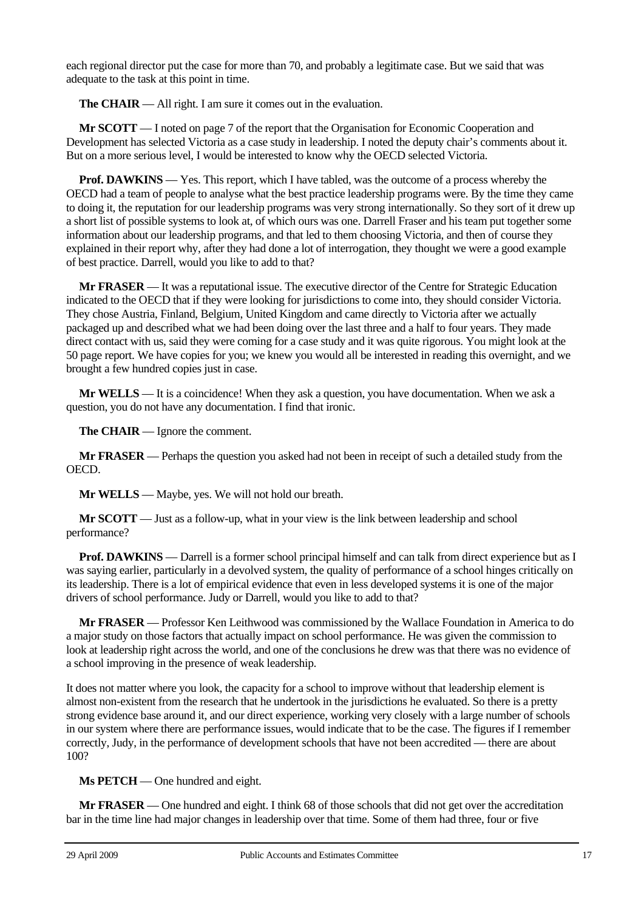each regional director put the case for more than 70, and probably a legitimate case. But we said that was adequate to the task at this point in time.

**The CHAIR** — All right. I am sure it comes out in the evaluation.

**Mr SCOTT** — I noted on page 7 of the report that the Organisation for Economic Cooperation and Development has selected Victoria as a case study in leadership. I noted the deputy chair's comments about it. But on a more serious level, I would be interested to know why the OECD selected Victoria.

**Prof. DAWKINS** — Yes. This report, which I have tabled, was the outcome of a process whereby the OECD had a team of people to analyse what the best practice leadership programs were. By the time they came to doing it, the reputation for our leadership programs was very strong internationally. So they sort of it drew up a short list of possible systems to look at, of which ours was one. Darrell Fraser and his team put together some information about our leadership programs, and that led to them choosing Victoria, and then of course they explained in their report why, after they had done a lot of interrogation, they thought we were a good example of best practice. Darrell, would you like to add to that?

**Mr FRASER** — It was a reputational issue. The executive director of the Centre for Strategic Education indicated to the OECD that if they were looking for jurisdictions to come into, they should consider Victoria. They chose Austria, Finland, Belgium, United Kingdom and came directly to Victoria after we actually packaged up and described what we had been doing over the last three and a half to four years. They made direct contact with us, said they were coming for a case study and it was quite rigorous. You might look at the 50 page report. We have copies for you; we knew you would all be interested in reading this overnight, and we brought a few hundred copies just in case.

**Mr WELLS** — It is a coincidence! When they ask a question, you have documentation. When we ask a question, you do not have any documentation. I find that ironic.

**The CHAIR** — Ignore the comment.

**Mr FRASER** — Perhaps the question you asked had not been in receipt of such a detailed study from the OECD.

**Mr WELLS** — Maybe, yes. We will not hold our breath.

**Mr SCOTT** — Just as a follow-up, what in your view is the link between leadership and school performance?

**Prof. DAWKINS** — Darrell is a former school principal himself and can talk from direct experience but as I was saying earlier, particularly in a devolved system, the quality of performance of a school hinges critically on its leadership. There is a lot of empirical evidence that even in less developed systems it is one of the major drivers of school performance. Judy or Darrell, would you like to add to that?

**Mr FRASER** — Professor Ken Leithwood was commissioned by the Wallace Foundation in America to do a major study on those factors that actually impact on school performance. He was given the commission to look at leadership right across the world, and one of the conclusions he drew was that there was no evidence of a school improving in the presence of weak leadership.

It does not matter where you look, the capacity for a school to improve without that leadership element is almost non-existent from the research that he undertook in the jurisdictions he evaluated. So there is a pretty strong evidence base around it, and our direct experience, working very closely with a large number of schools in our system where there are performance issues, would indicate that to be the case. The figures if I remember correctly, Judy, in the performance of development schools that have not been accredited — there are about 100?

**Ms PETCH** — One hundred and eight.

**Mr FRASER** — One hundred and eight. I think 68 of those schools that did not get over the accreditation bar in the time line had major changes in leadership over that time. Some of them had three, four or five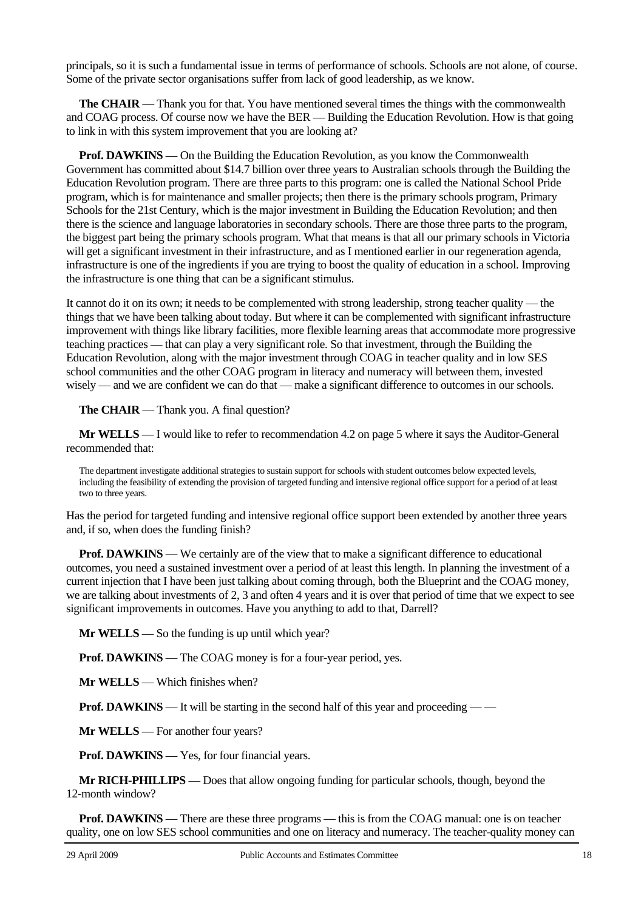principals, so it is such a fundamental issue in terms of performance of schools. Schools are not alone, of course. Some of the private sector organisations suffer from lack of good leadership, as we know.

**The CHAIR** — Thank you for that. You have mentioned several times the things with the commonwealth and COAG process. Of course now we have the BER — Building the Education Revolution. How is that going to link in with this system improvement that you are looking at?

**Prof. DAWKINS** — On the Building the Education Revolution, as you know the Commonwealth Government has committed about \$14.7 billion over three years to Australian schools through the Building the Education Revolution program. There are three parts to this program: one is called the National School Pride program, which is for maintenance and smaller projects; then there is the primary schools program, Primary Schools for the 21st Century, which is the major investment in Building the Education Revolution; and then there is the science and language laboratories in secondary schools. There are those three parts to the program, the biggest part being the primary schools program. What that means is that all our primary schools in Victoria will get a significant investment in their infrastructure, and as I mentioned earlier in our regeneration agenda, infrastructure is one of the ingredients if you are trying to boost the quality of education in a school. Improving the infrastructure is one thing that can be a significant stimulus.

It cannot do it on its own; it needs to be complemented with strong leadership, strong teacher quality — the things that we have been talking about today. But where it can be complemented with significant infrastructure improvement with things like library facilities, more flexible learning areas that accommodate more progressive teaching practices — that can play a very significant role. So that investment, through the Building the Education Revolution, along with the major investment through COAG in teacher quality and in low SES school communities and the other COAG program in literacy and numeracy will between them, invested wisely — and we are confident we can do that — make a significant difference to outcomes in our schools.

**The CHAIR** — Thank you. A final question?

**Mr WELLS** — I would like to refer to recommendation 4.2 on page 5 where it says the Auditor-General recommended that:

The department investigate additional strategies to sustain support for schools with student outcomes below expected levels, including the feasibility of extending the provision of targeted funding and intensive regional office support for a period of at least two to three years.

Has the period for targeted funding and intensive regional office support been extended by another three years and, if so, when does the funding finish?

**Prof. DAWKINS** — We certainly are of the view that to make a significant difference to educational outcomes, you need a sustained investment over a period of at least this length. In planning the investment of a current injection that I have been just talking about coming through, both the Blueprint and the COAG money, we are talking about investments of 2, 3 and often 4 years and it is over that period of time that we expect to see significant improvements in outcomes. Have you anything to add to that, Darrell?

**Mr WELLS** — So the funding is up until which year?

**Prof. DAWKINS** — The COAG money is for a four-year period, yes.

**Mr WELLS** — Which finishes when?

**Prof. DAWKINS** — It will be starting in the second half of this year and proceeding — —

**Mr WELLS** — For another four years?

**Prof. DAWKINS** — Yes, for four financial years.

**Mr RICH-PHILLIPS** — Does that allow ongoing funding for particular schools, though, beyond the 12-month window?

**Prof. DAWKINS** — There are these three programs — this is from the COAG manual: one is on teacher quality, one on low SES school communities and one on literacy and numeracy. The teacher-quality money can